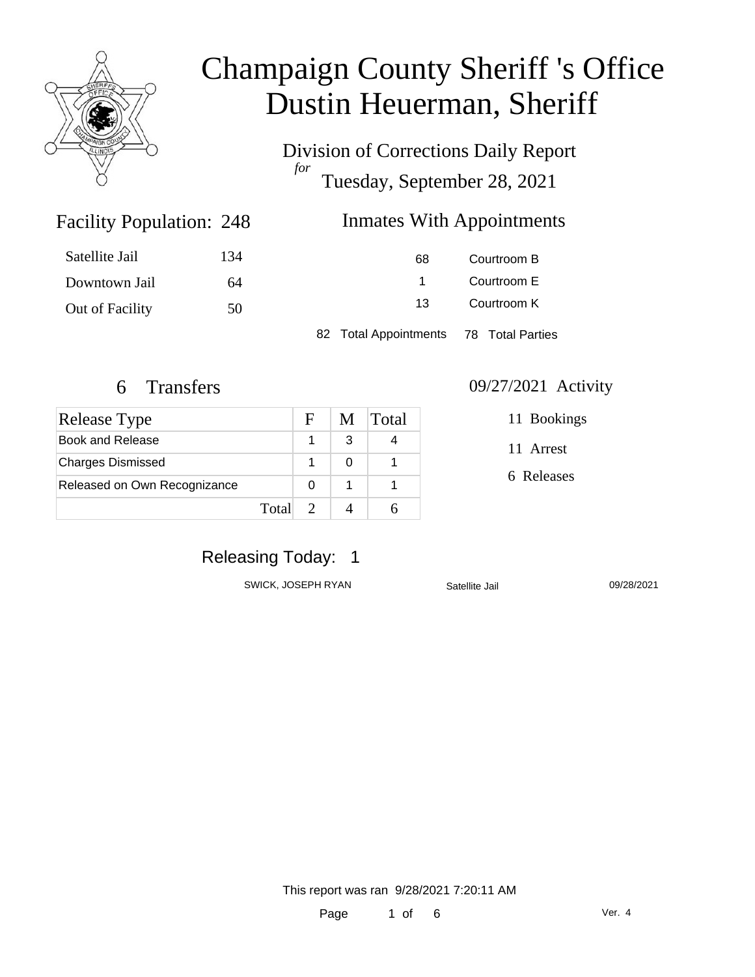

Division of Corrections Daily Report *for* Tuesday, September 28, 2021

### Inmates With Appointments

| Satellite Jail  | 134 | 68                                     | Courtroom B |  |
|-----------------|-----|----------------------------------------|-------------|--|
| Downtown Jail   | 64  |                                        | Courtroom E |  |
| Out of Facility | 50  | 13                                     | Courtroom K |  |
|                 |     | 82 Total Appointments 78 Total Parties |             |  |

Facility Population: 248

| Release Type                 |       | F | M | Total |
|------------------------------|-------|---|---|-------|
| Book and Release             |       |   | З |       |
| <b>Charges Dismissed</b>     |       |   |   |       |
| Released on Own Recognizance |       | O |   |       |
|                              | Total |   |   |       |

#### 6 Transfers 09/27/2021 Activity

11 Bookings

11 Arrest

6 Releases

### Releasing Today: 1

SWICK, JOSEPH RYAN Satellite Jail 09/28/2021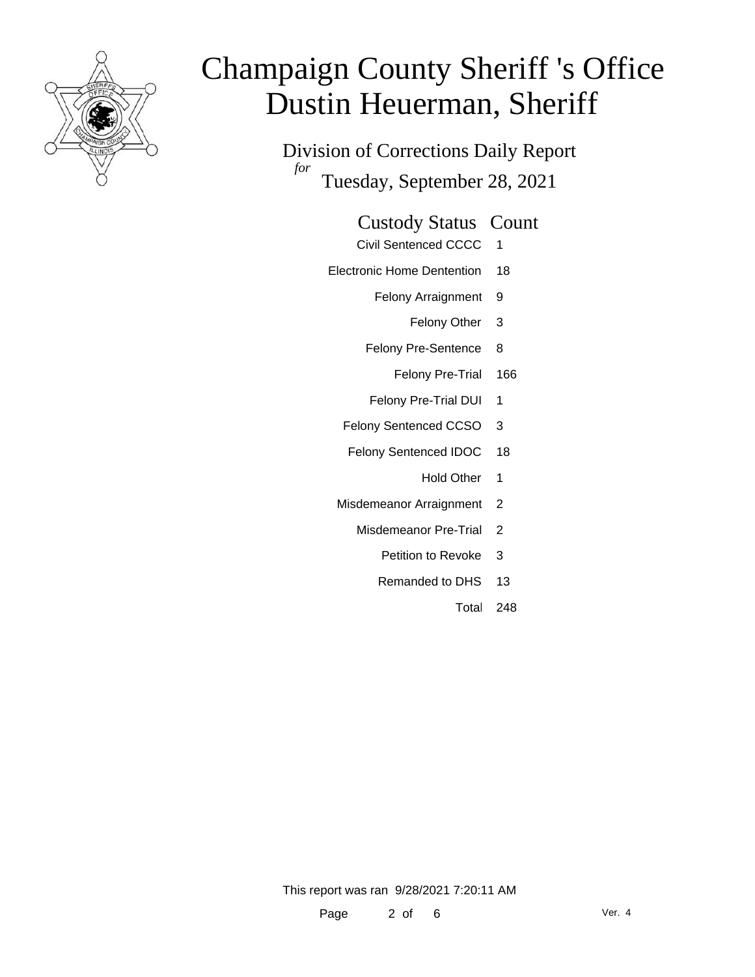

Division of Corrections Daily Report *for* Tuesday, September 28, 2021

#### Custody Status Count

- Civil Sentenced CCCC 1
- Electronic Home Dentention 18
	- Felony Arraignment 9
		- Felony Other 3
	- Felony Pre-Sentence 8
		- Felony Pre-Trial 166
	- Felony Pre-Trial DUI 1
	- Felony Sentenced CCSO 3
	- Felony Sentenced IDOC 18
		- Hold Other 1
	- Misdemeanor Arraignment 2
		- Misdemeanor Pre-Trial 2
			- Petition to Revoke 3
			- Remanded to DHS 13
				- Total 248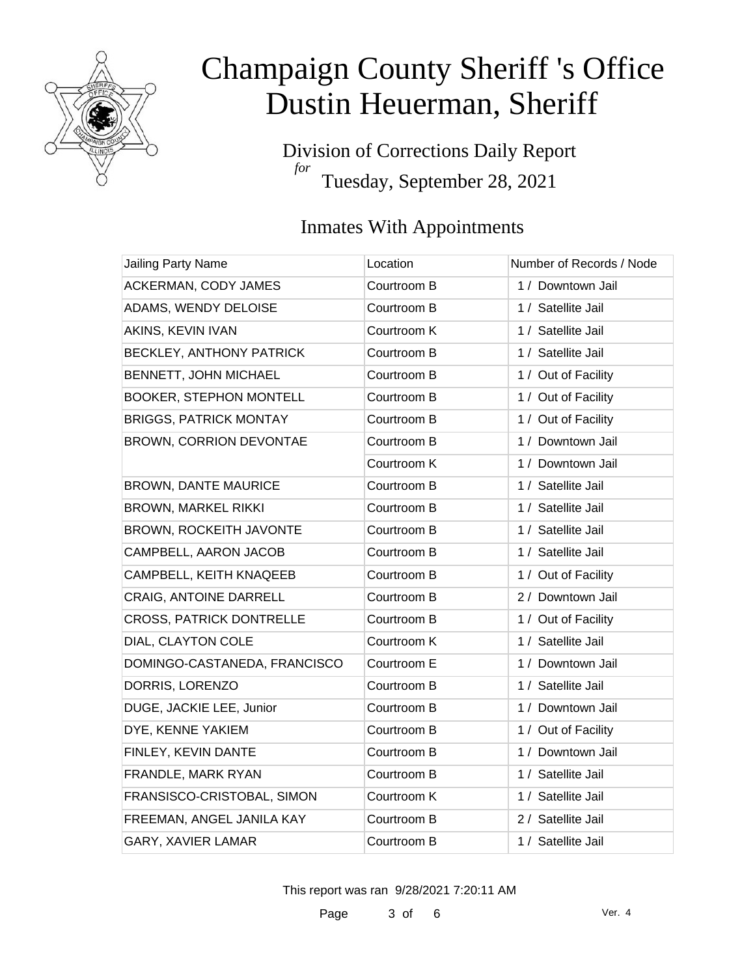

Division of Corrections Daily Report *for* Tuesday, September 28, 2021

### Inmates With Appointments

| <b>Jailing Party Name</b>       | Location    | Number of Records / Node |
|---------------------------------|-------------|--------------------------|
| ACKERMAN, CODY JAMES            | Courtroom B | 1 / Downtown Jail        |
| ADAMS, WENDY DELOISE            | Courtroom B | 1 / Satellite Jail       |
| AKINS, KEVIN IVAN               | Courtroom K | 1 / Satellite Jail       |
| <b>BECKLEY, ANTHONY PATRICK</b> | Courtroom B | 1 / Satellite Jail       |
| BENNETT, JOHN MICHAEL           | Courtroom B | 1 / Out of Facility      |
| <b>BOOKER, STEPHON MONTELL</b>  | Courtroom B | 1 / Out of Facility      |
| <b>BRIGGS, PATRICK MONTAY</b>   | Courtroom B | 1 / Out of Facility      |
| <b>BROWN, CORRION DEVONTAE</b>  | Courtroom B | 1 / Downtown Jail        |
|                                 | Courtroom K | 1 / Downtown Jail        |
| <b>BROWN, DANTE MAURICE</b>     | Courtroom B | 1 / Satellite Jail       |
| <b>BROWN, MARKEL RIKKI</b>      | Courtroom B | 1 / Satellite Jail       |
| BROWN, ROCKEITH JAVONTE         | Courtroom B | 1 / Satellite Jail       |
| CAMPBELL, AARON JACOB           | Courtroom B | 1 / Satellite Jail       |
| CAMPBELL, KEITH KNAQEEB         | Courtroom B | 1 / Out of Facility      |
| <b>CRAIG, ANTOINE DARRELL</b>   | Courtroom B | 2 / Downtown Jail        |
| <b>CROSS, PATRICK DONTRELLE</b> | Courtroom B | 1 / Out of Facility      |
| DIAL, CLAYTON COLE              | Courtroom K | 1 / Satellite Jail       |
| DOMINGO-CASTANEDA, FRANCISCO    | Courtroom E | 1 / Downtown Jail        |
| DORRIS, LORENZO                 | Courtroom B | 1 / Satellite Jail       |
| DUGE, JACKIE LEE, Junior        | Courtroom B | 1 / Downtown Jail        |
| DYE, KENNE YAKIEM               | Courtroom B | 1 / Out of Facility      |
| FINLEY, KEVIN DANTE             | Courtroom B | 1 / Downtown Jail        |
| FRANDLE, MARK RYAN              | Courtroom B | 1 / Satellite Jail       |
| FRANSISCO-CRISTOBAL, SIMON      | Courtroom K | 1 / Satellite Jail       |
| FREEMAN, ANGEL JANILA KAY       | Courtroom B | 2 / Satellite Jail       |
| GARY, XAVIER LAMAR              | Courtroom B | 1 / Satellite Jail       |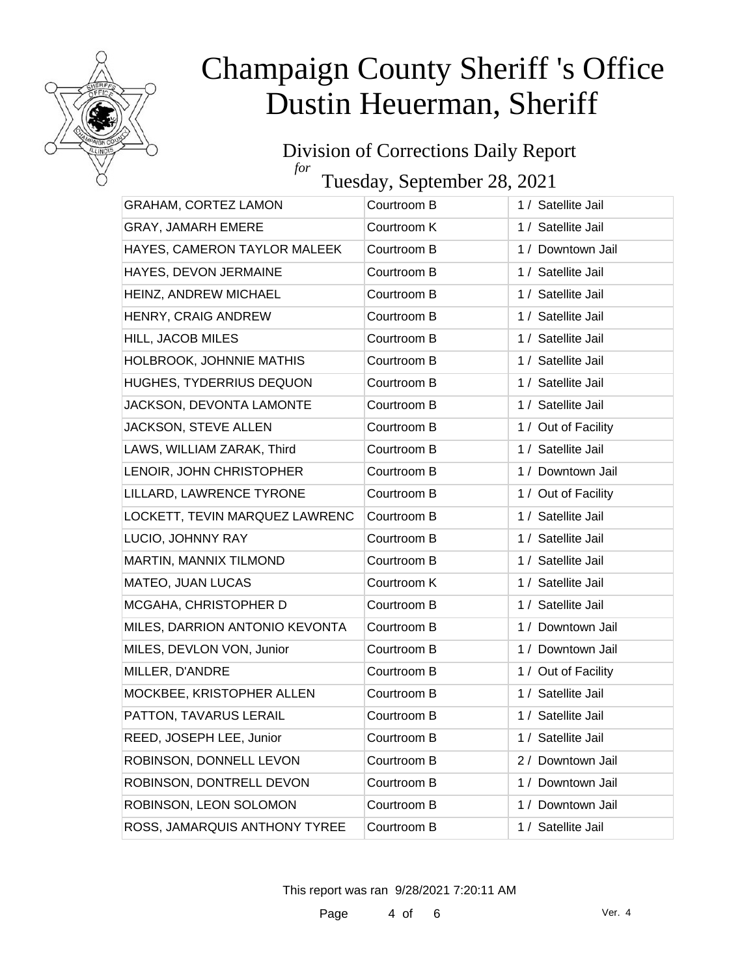

#### Division of Corrections Daily Report *for*

Tuesday, September 28, 2021

| <b>GRAHAM, CORTEZ LAMON</b>    | Courtroom B | 1 / Satellite Jail  |
|--------------------------------|-------------|---------------------|
| GRAY, JAMARH EMERE             | Courtroom K | 1 / Satellite Jail  |
| HAYES, CAMERON TAYLOR MALEEK   | Courtroom B | 1 / Downtown Jail   |
| HAYES, DEVON JERMAINE          | Courtroom B | 1 / Satellite Jail  |
| HEINZ, ANDREW MICHAEL          | Courtroom B | 1 / Satellite Jail  |
| HENRY, CRAIG ANDREW            | Courtroom B | 1 / Satellite Jail  |
| HILL, JACOB MILES              | Courtroom B | 1 / Satellite Jail  |
| HOLBROOK, JOHNNIE MATHIS       | Courtroom B | 1 / Satellite Jail  |
| HUGHES, TYDERRIUS DEQUON       | Courtroom B | 1 / Satellite Jail  |
| JACKSON, DEVONTA LAMONTE       | Courtroom B | 1 / Satellite Jail  |
| JACKSON, STEVE ALLEN           | Courtroom B | 1 / Out of Facility |
| LAWS, WILLIAM ZARAK, Third     | Courtroom B | 1 / Satellite Jail  |
| LENOIR, JOHN CHRISTOPHER       | Courtroom B | 1 / Downtown Jail   |
| LILLARD, LAWRENCE TYRONE       | Courtroom B | 1 / Out of Facility |
| LOCKETT, TEVIN MARQUEZ LAWRENC | Courtroom B | 1 / Satellite Jail  |
| LUCIO, JOHNNY RAY              | Courtroom B | 1 / Satellite Jail  |
| MARTIN, MANNIX TILMOND         | Courtroom B | 1 / Satellite Jail  |
| MATEO, JUAN LUCAS              | Courtroom K | 1 / Satellite Jail  |
| MCGAHA, CHRISTOPHER D          | Courtroom B | 1 / Satellite Jail  |
| MILES, DARRION ANTONIO KEVONTA | Courtroom B | 1 / Downtown Jail   |
| MILES, DEVLON VON, Junior      | Courtroom B | 1 / Downtown Jail   |
| MILLER, D'ANDRE                | Courtroom B | 1 / Out of Facility |
| MOCKBEE, KRISTOPHER ALLEN      | Courtroom B | 1 / Satellite Jail  |
| PATTON, TAVARUS LERAIL         | Courtroom B | 1 / Satellite Jail  |
| REED, JOSEPH LEE, Junior       | Courtroom B | 1 / Satellite Jail  |
| ROBINSON, DONNELL LEVON        | Courtroom B | 2 / Downtown Jail   |
| ROBINSON, DONTRELL DEVON       | Courtroom B | 1 / Downtown Jail   |
| ROBINSON, LEON SOLOMON         | Courtroom B | 1 / Downtown Jail   |
| ROSS, JAMARQUIS ANTHONY TYREE  | Courtroom B | 1 / Satellite Jail  |
|                                |             |                     |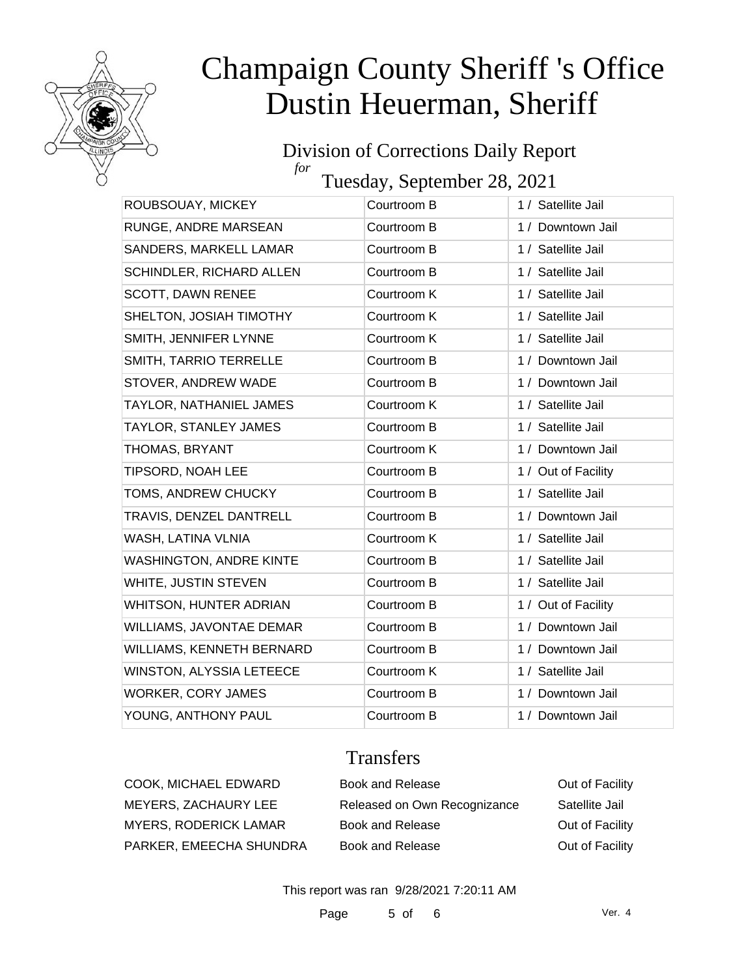

#### Division of Corrections Daily Report *for* Tuesday, September 28, 2021

ROUBSOUAY, MICKEY Courtroom B 1 / Satellite Jail RUNGE, ANDRE MARSEAN Courtroom B 1 / Downtown Jail SANDERS, MARKELL LAMAR Courtroom B 1 / Satellite Jail SCHINDLER, RICHARD ALLEN Courtroom B 1 / Satellite Jail SCOTT, DAWN RENEE Courtroom K 1 / Satellite Jail SHELTON, JOSIAH TIMOTHY Courtroom K 1 / Satellite Jail SMITH, JENNIFER LYNNE Courtroom K 1 / Satellite Jail SMITH, TARRIO TERRELLE Courtroom B 1 / Downtown Jail STOVER, ANDREW WADE Courtroom B 1 / Downtown Jail TAYLOR, NATHANIEL JAMES Courtroom K 1 / Satellite Jail TAYLOR, STANLEY JAMES Courtroom B 1 / Satellite Jail THOMAS, BRYANT Courtroom K 1 / Downtown Jail TIPSORD, NOAH LEE Courtroom B 1 / Out of Facility TOMS, ANDREW CHUCKY COURTROOM B 1 / Satellite Jail TRAVIS, DENZEL DANTRELL Courtroom B 1 / Downtown Jail WASH, LATINA VLNIA COURTROOM K 1 / Satellite Jail WASHINGTON, ANDRE KINTE Courtroom B 1 / Satellite Jail WHITE, JUSTIN STEVEN Courtroom B 1/ Satellite Jail WHITSON, HUNTER ADRIAN Courtroom B 1 / Out of Facility WILLIAMS, JAVONTAE DEMAR Courtroom B 1 / Downtown Jail WILLIAMS, KENNETH BERNARD Courtroom B 1 / Downtown Jail WINSTON, ALYSSIA LETEECE COurtroom K 1 / Satellite Jail WORKER, CORY JAMES Courtroom B 1/ Downtown Jail YOUNG, ANTHONY PAUL Courtroom B 1 / Downtown Jail

### **Transfers**

| COOK, MICHAEL EDWARD         | Book and Release             | Out of Facility |
|------------------------------|------------------------------|-----------------|
| MEYERS, ZACHAURY LEE         | Released on Own Recognizance | Satellite Jail  |
| <b>MYERS, RODERICK LAMAR</b> | Book and Release             | Out of Facility |
| PARKER, EMEECHA SHUNDRA      | Book and Release             | Out of Facility |